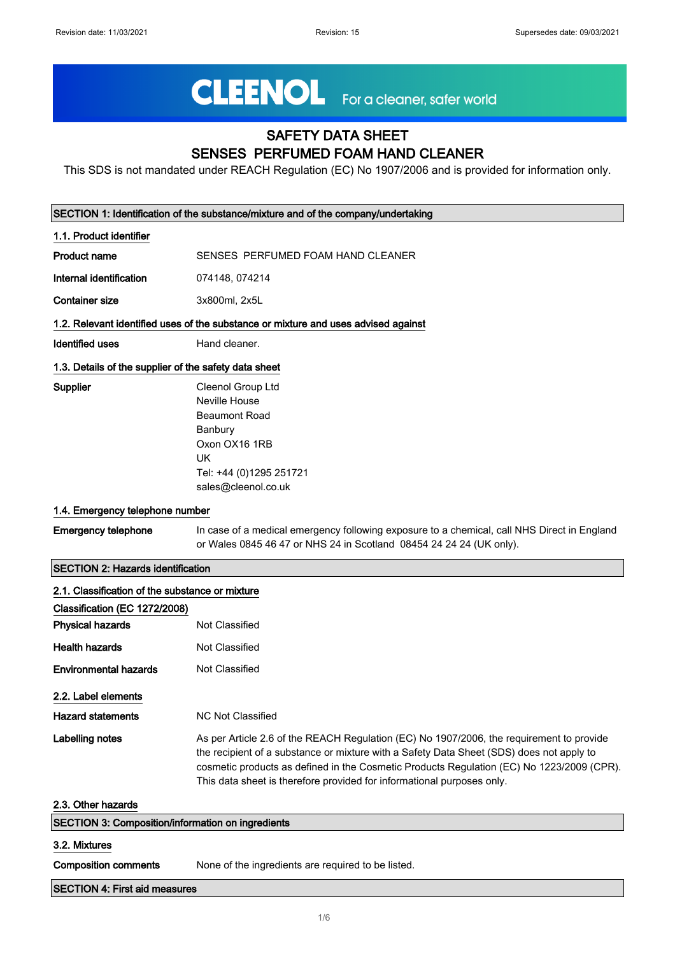# CLEENOL For a cleaner, safer world

## SAFETY DATA SHEET SENSES PERFUMED FOAM HAND CLEANER

This SDS is not mandated under REACH Regulation (EC) No 1907/2006 and is provided for information only.

| SECTION 1: Identification of the substance/mixture and of the company/undertaking |                                                                                                                                                                                                                                                                                                                                                             |  |  |
|-----------------------------------------------------------------------------------|-------------------------------------------------------------------------------------------------------------------------------------------------------------------------------------------------------------------------------------------------------------------------------------------------------------------------------------------------------------|--|--|
| 1.1. Product identifier                                                           |                                                                                                                                                                                                                                                                                                                                                             |  |  |
| Product name                                                                      | SENSES PERFUMED FOAM HAND CLEANER                                                                                                                                                                                                                                                                                                                           |  |  |
| Internal identification                                                           | 074148, 074214                                                                                                                                                                                                                                                                                                                                              |  |  |
| <b>Container size</b>                                                             | 3x800ml, 2x5L                                                                                                                                                                                                                                                                                                                                               |  |  |
|                                                                                   | 1.2. Relevant identified uses of the substance or mixture and uses advised against                                                                                                                                                                                                                                                                          |  |  |
| Identified uses                                                                   | Hand cleaner.                                                                                                                                                                                                                                                                                                                                               |  |  |
| 1.3. Details of the supplier of the safety data sheet                             |                                                                                                                                                                                                                                                                                                                                                             |  |  |
| Supplier                                                                          | Cleenol Group Ltd<br>Neville House<br><b>Beaumont Road</b><br>Banbury<br>Oxon OX16 1RB<br><b>UK</b><br>Tel: +44 (0)1295 251721<br>sales@cleenol.co.uk                                                                                                                                                                                                       |  |  |
| 1.4. Emergency telephone number                                                   |                                                                                                                                                                                                                                                                                                                                                             |  |  |
| <b>Emergency telephone</b>                                                        | In case of a medical emergency following exposure to a chemical, call NHS Direct in England<br>or Wales 0845 46 47 or NHS 24 in Scotland 08454 24 24 24 (UK only).                                                                                                                                                                                          |  |  |
| <b>SECTION 2: Hazards identification</b>                                          |                                                                                                                                                                                                                                                                                                                                                             |  |  |
| 2.1. Classification of the substance or mixture                                   |                                                                                                                                                                                                                                                                                                                                                             |  |  |
|                                                                                   |                                                                                                                                                                                                                                                                                                                                                             |  |  |
| Classification (EC 1272/2008)                                                     |                                                                                                                                                                                                                                                                                                                                                             |  |  |
| <b>Physical hazards</b>                                                           | Not Classified                                                                                                                                                                                                                                                                                                                                              |  |  |
| <b>Health hazards</b>                                                             | <b>Not Classified</b>                                                                                                                                                                                                                                                                                                                                       |  |  |
| <b>Environmental hazards</b>                                                      | Not Classified                                                                                                                                                                                                                                                                                                                                              |  |  |
| 2.2. Label elements                                                               |                                                                                                                                                                                                                                                                                                                                                             |  |  |
| <b>Hazard statements</b>                                                          | NC Not Classified                                                                                                                                                                                                                                                                                                                                           |  |  |
| <b>Labelling notes</b>                                                            | As per Article 2.6 of the REACH Regulation (EC) No 1907/2006, the requirement to provide<br>the recipient of a substance or mixture with a Safety Data Sheet (SDS) does not apply to<br>cosmetic products as defined in the Cosmetic Products Regulation (EC) No 1223/2009 (CPR).<br>This data sheet is therefore provided for informational purposes only. |  |  |
| 2.3. Other hazards                                                                |                                                                                                                                                                                                                                                                                                                                                             |  |  |
| <b>SECTION 3: Composition/information on ingredients</b>                          |                                                                                                                                                                                                                                                                                                                                                             |  |  |
| 3.2. Mixtures                                                                     |                                                                                                                                                                                                                                                                                                                                                             |  |  |
| <b>Composition comments</b>                                                       | None of the ingredients are required to be listed.                                                                                                                                                                                                                                                                                                          |  |  |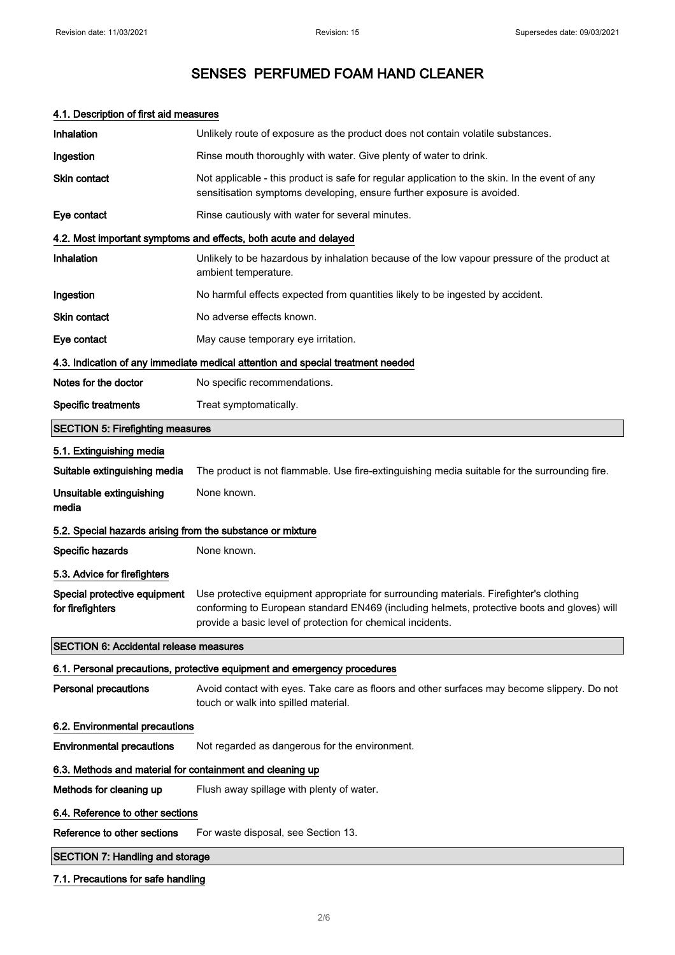## 4.1. Description of first aid measures

| Inhalation                                                 | Unlikely route of exposure as the product does not contain volatile substances.                                                                                                                                                                      |  |
|------------------------------------------------------------|------------------------------------------------------------------------------------------------------------------------------------------------------------------------------------------------------------------------------------------------------|--|
| Ingestion                                                  | Rinse mouth thoroughly with water. Give plenty of water to drink.                                                                                                                                                                                    |  |
| Skin contact                                               | Not applicable - this product is safe for regular application to the skin. In the event of any<br>sensitisation symptoms developing, ensure further exposure is avoided.                                                                             |  |
| Eye contact                                                | Rinse cautiously with water for several minutes.                                                                                                                                                                                                     |  |
|                                                            | 4.2. Most important symptoms and effects, both acute and delayed                                                                                                                                                                                     |  |
| Inhalation                                                 | Unlikely to be hazardous by inhalation because of the low vapour pressure of the product at<br>ambient temperature.                                                                                                                                  |  |
| Ingestion                                                  | No harmful effects expected from quantities likely to be ingested by accident.                                                                                                                                                                       |  |
| <b>Skin contact</b>                                        | No adverse effects known.                                                                                                                                                                                                                            |  |
| Eye contact                                                | May cause temporary eye irritation.                                                                                                                                                                                                                  |  |
|                                                            | 4.3. Indication of any immediate medical attention and special treatment needed                                                                                                                                                                      |  |
| Notes for the doctor                                       | No specific recommendations.                                                                                                                                                                                                                         |  |
| <b>Specific treatments</b>                                 | Treat symptomatically.                                                                                                                                                                                                                               |  |
| <b>SECTION 5: Firefighting measures</b>                    |                                                                                                                                                                                                                                                      |  |
| 5.1. Extinguishing media                                   |                                                                                                                                                                                                                                                      |  |
| Suitable extinguishing media                               | The product is not flammable. Use fire-extinguishing media suitable for the surrounding fire.                                                                                                                                                        |  |
| Unsuitable extinguishing<br>media                          | None known.                                                                                                                                                                                                                                          |  |
| 5.2. Special hazards arising from the substance or mixture |                                                                                                                                                                                                                                                      |  |
| Specific hazards                                           | None known.                                                                                                                                                                                                                                          |  |
| 5.3. Advice for firefighters                               |                                                                                                                                                                                                                                                      |  |
| Special protective equipment<br>for firefighters           | Use protective equipment appropriate for surrounding materials. Firefighter's clothing<br>conforming to European standard EN469 (including helmets, protective boots and gloves) will<br>provide a basic level of protection for chemical incidents. |  |
| <b>SECTION 6: Accidental release measures</b>              |                                                                                                                                                                                                                                                      |  |
|                                                            | 6.1. Personal precautions, protective equipment and emergency procedures                                                                                                                                                                             |  |
| <b>Personal precautions</b>                                | Avoid contact with eyes. Take care as floors and other surfaces may become slippery. Do not<br>touch or walk into spilled material.                                                                                                                  |  |
| 6.2. Environmental precautions                             |                                                                                                                                                                                                                                                      |  |
| <b>Environmental precautions</b>                           | Not regarded as dangerous for the environment.                                                                                                                                                                                                       |  |
| 6.3. Methods and material for containment and cleaning up  |                                                                                                                                                                                                                                                      |  |
| Methods for cleaning up                                    | Flush away spillage with plenty of water.                                                                                                                                                                                                            |  |
| 6.4. Reference to other sections                           |                                                                                                                                                                                                                                                      |  |
| Reference to other sections                                | For waste disposal, see Section 13.                                                                                                                                                                                                                  |  |
| <b>SECTION 7: Handling and storage</b>                     |                                                                                                                                                                                                                                                      |  |

#### 7.1. Precautions for safe handling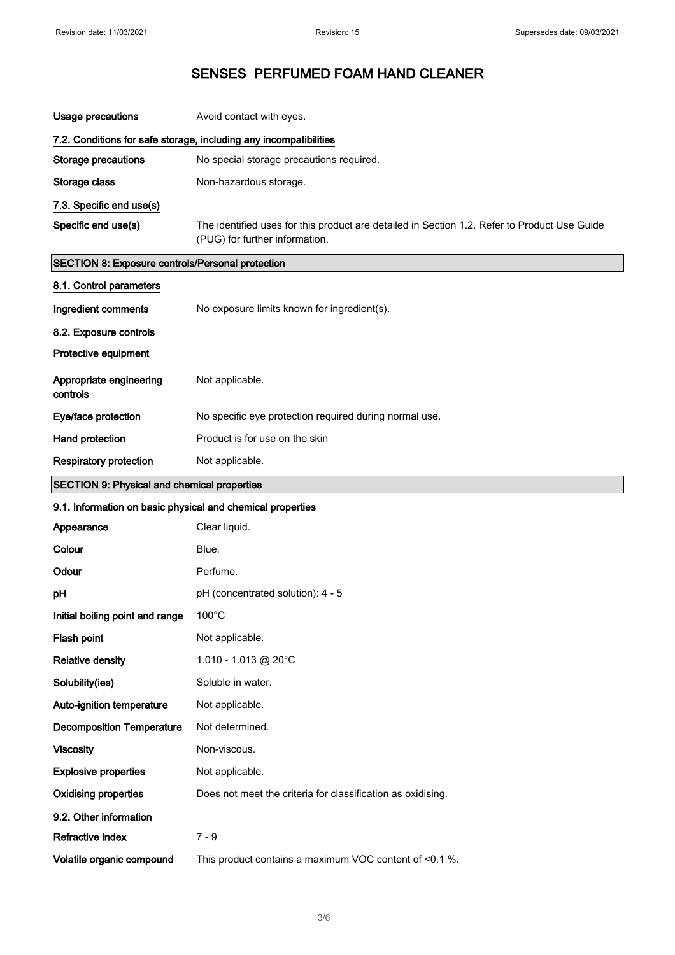| <b>Usage precautions</b>                                          | Avoid contact with eyes.                                                                                                       |  |
|-------------------------------------------------------------------|--------------------------------------------------------------------------------------------------------------------------------|--|
| 7.2. Conditions for safe storage, including any incompatibilities |                                                                                                                                |  |
| <b>Storage precautions</b>                                        | No special storage precautions required.                                                                                       |  |
| Storage class                                                     | Non-hazardous storage.                                                                                                         |  |
| 7.3. Specific end use(s)                                          |                                                                                                                                |  |
| Specific end use(s)                                               | The identified uses for this product are detailed in Section 1.2. Refer to Product Use Guide<br>(PUG) for further information. |  |
| SECTION 8: Exposure controls/Personal protection                  |                                                                                                                                |  |
| 8.1. Control parameters                                           |                                                                                                                                |  |
| Ingredient comments                                               | No exposure limits known for ingredient(s).                                                                                    |  |
| 8.2. Exposure controls                                            |                                                                                                                                |  |
| Protective equipment                                              |                                                                                                                                |  |
| Appropriate engineering<br>controls                               | Not applicable.                                                                                                                |  |
| Eye/face protection                                               | No specific eye protection required during normal use.                                                                         |  |
| Hand protection                                                   | Product is for use on the skin                                                                                                 |  |
| <b>Respiratory protection</b>                                     | Not applicable.                                                                                                                |  |
| <b>SECTION 9: Physical and chemical properties</b>                |                                                                                                                                |  |
| 9.1. Information on basic physical and chemical properties        |                                                                                                                                |  |
| Appearance                                                        | Clear liquid.                                                                                                                  |  |
| Colour                                                            | Blue.                                                                                                                          |  |
| Odour                                                             | Perfume.                                                                                                                       |  |
| pH                                                                | pH (concentrated solution): 4 - 5                                                                                              |  |
| Initial boiling point and range                                   | $100^{\circ}$ C                                                                                                                |  |
| Flash point                                                       | Not applicable.                                                                                                                |  |
| <b>Relative density</b>                                           | 1.010 - 1.013 @ 20°C                                                                                                           |  |
| Solubility(ies)                                                   | Soluble in water.                                                                                                              |  |
| Auto-ignition temperature                                         | Not applicable.                                                                                                                |  |
| <b>Decomposition Temperature</b>                                  | Not determined.                                                                                                                |  |
| <b>Viscosity</b>                                                  | Non-viscous.                                                                                                                   |  |
| <b>Explosive properties</b>                                       | Not applicable.                                                                                                                |  |
| <b>Oxidising properties</b>                                       | Does not meet the criteria for classification as oxidising.                                                                    |  |
| 9.2. Other information                                            |                                                                                                                                |  |
| Refractive index                                                  | $7 - 9$                                                                                                                        |  |
| Volatile organic compound                                         | This product contains a maximum VOC content of <0.1 %.                                                                         |  |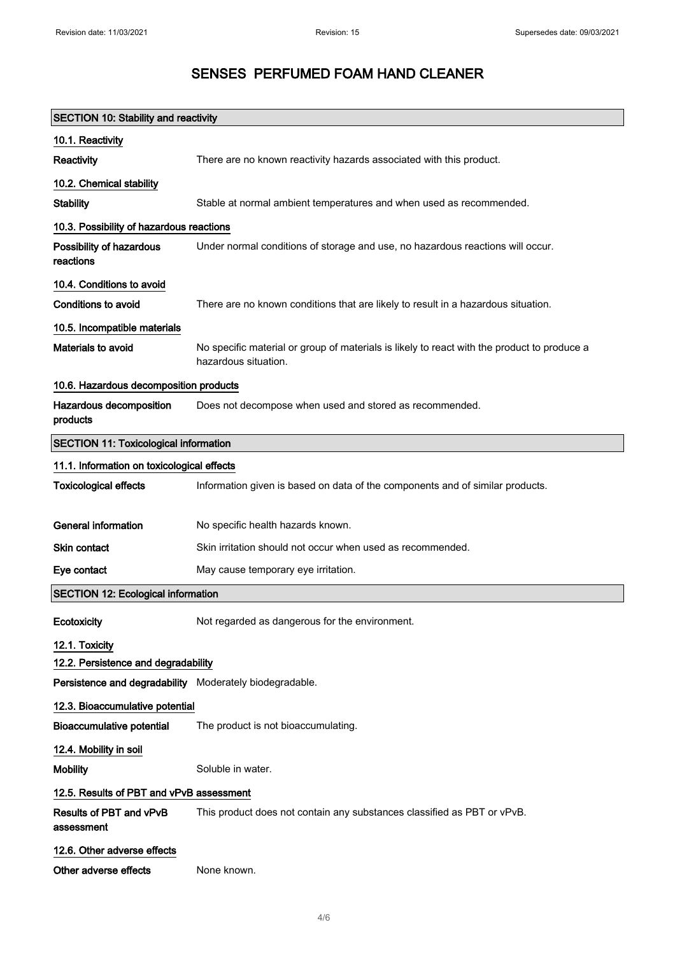| <b>SECTION 10: Stability and reactivity</b>             |                                                                                                                     |  |
|---------------------------------------------------------|---------------------------------------------------------------------------------------------------------------------|--|
| 10.1. Reactivity                                        |                                                                                                                     |  |
| Reactivity                                              | There are no known reactivity hazards associated with this product.                                                 |  |
| 10.2. Chemical stability                                |                                                                                                                     |  |
| <b>Stability</b>                                        | Stable at normal ambient temperatures and when used as recommended.                                                 |  |
| 10.3. Possibility of hazardous reactions                |                                                                                                                     |  |
| Possibility of hazardous<br>reactions                   | Under normal conditions of storage and use, no hazardous reactions will occur.                                      |  |
| 10.4. Conditions to avoid                               |                                                                                                                     |  |
| <b>Conditions to avoid</b>                              | There are no known conditions that are likely to result in a hazardous situation.                                   |  |
| 10.5. Incompatible materials                            |                                                                                                                     |  |
| Materials to avoid                                      | No specific material or group of materials is likely to react with the product to produce a<br>hazardous situation. |  |
| 10.6. Hazardous decomposition products                  |                                                                                                                     |  |
| Hazardous decomposition<br>products                     | Does not decompose when used and stored as recommended.                                                             |  |
| <b>SECTION 11: Toxicological information</b>            |                                                                                                                     |  |
| 11.1. Information on toxicological effects              |                                                                                                                     |  |
| <b>Toxicological effects</b>                            | Information given is based on data of the components and of similar products.                                       |  |
| <b>General information</b>                              | No specific health hazards known.                                                                                   |  |
| <b>Skin contact</b>                                     | Skin irritation should not occur when used as recommended.                                                          |  |
| Eye contact                                             | May cause temporary eye irritation.                                                                                 |  |
| <b>SECTION 12: Ecological information</b>               |                                                                                                                     |  |
| Ecotoxicity                                             | Not regarded as dangerous for the environment.                                                                      |  |
| 12.1. Toxicity                                          |                                                                                                                     |  |
| 12.2. Persistence and degradability                     |                                                                                                                     |  |
| Persistence and degradability Moderately biodegradable. |                                                                                                                     |  |
| 12.3. Bioaccumulative potential                         |                                                                                                                     |  |
| <b>Bioaccumulative potential</b>                        | The product is not bioaccumulating.                                                                                 |  |
| 12.4. Mobility in soil                                  |                                                                                                                     |  |
| <b>Mobility</b>                                         | Soluble in water.                                                                                                   |  |
| 12.5. Results of PBT and vPvB assessment                |                                                                                                                     |  |
| Results of PBT and vPvB<br>assessment                   | This product does not contain any substances classified as PBT or vPvB.                                             |  |
| 12.6. Other adverse effects                             |                                                                                                                     |  |
| Other adverse effects                                   | None known.                                                                                                         |  |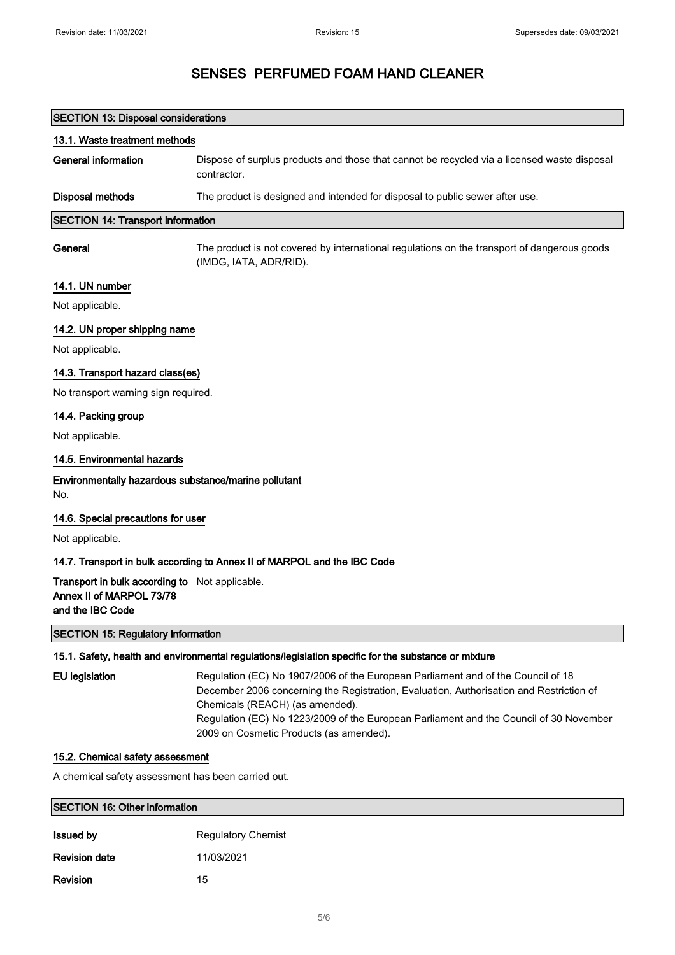| <b>SECTION 13: Disposal considerations</b>                                                     |                                                                                                                                                                                                                                                                                                                                                     |  |
|------------------------------------------------------------------------------------------------|-----------------------------------------------------------------------------------------------------------------------------------------------------------------------------------------------------------------------------------------------------------------------------------------------------------------------------------------------------|--|
| 13.1. Waste treatment methods                                                                  |                                                                                                                                                                                                                                                                                                                                                     |  |
| <b>General information</b>                                                                     | Dispose of surplus products and those that cannot be recycled via a licensed waste disposal<br>contractor.                                                                                                                                                                                                                                          |  |
| <b>Disposal methods</b>                                                                        | The product is designed and intended for disposal to public sewer after use.                                                                                                                                                                                                                                                                        |  |
| <b>SECTION 14: Transport information</b>                                                       |                                                                                                                                                                                                                                                                                                                                                     |  |
| General                                                                                        | The product is not covered by international regulations on the transport of dangerous goods<br>(IMDG, IATA, ADR/RID).                                                                                                                                                                                                                               |  |
| 14.1. UN number                                                                                |                                                                                                                                                                                                                                                                                                                                                     |  |
| Not applicable.                                                                                |                                                                                                                                                                                                                                                                                                                                                     |  |
| 14.2. UN proper shipping name                                                                  |                                                                                                                                                                                                                                                                                                                                                     |  |
| Not applicable.                                                                                |                                                                                                                                                                                                                                                                                                                                                     |  |
| 14.3. Transport hazard class(es)                                                               |                                                                                                                                                                                                                                                                                                                                                     |  |
| No transport warning sign required.                                                            |                                                                                                                                                                                                                                                                                                                                                     |  |
| 14.4. Packing group                                                                            |                                                                                                                                                                                                                                                                                                                                                     |  |
| Not applicable.                                                                                |                                                                                                                                                                                                                                                                                                                                                     |  |
| 14.5. Environmental hazards                                                                    |                                                                                                                                                                                                                                                                                                                                                     |  |
| Environmentally hazardous substance/marine pollutant<br>No.                                    |                                                                                                                                                                                                                                                                                                                                                     |  |
| 14.6. Special precautions for user                                                             |                                                                                                                                                                                                                                                                                                                                                     |  |
| Not applicable.                                                                                |                                                                                                                                                                                                                                                                                                                                                     |  |
|                                                                                                | 14.7. Transport in bulk according to Annex II of MARPOL and the IBC Code                                                                                                                                                                                                                                                                            |  |
| Transport in bulk according to Not applicable.<br>Annex II of MARPOL 73/78<br>and the IBC Code |                                                                                                                                                                                                                                                                                                                                                     |  |
| <b>SECTION 15: Regulatory information</b>                                                      |                                                                                                                                                                                                                                                                                                                                                     |  |
|                                                                                                | 15.1. Safety, health and environmental regulations/legislation specific for the substance or mixture                                                                                                                                                                                                                                                |  |
| <b>EU legislation</b>                                                                          | Regulation (EC) No 1907/2006 of the European Parliament and of the Council of 18<br>December 2006 concerning the Registration, Evaluation, Authorisation and Restriction of<br>Chemicals (REACH) (as amended).<br>Regulation (EC) No 1223/2009 of the European Parliament and the Council of 30 November<br>2009 on Cosmetic Products (as amended). |  |
| 15.2. Chemical safety assessment                                                               |                                                                                                                                                                                                                                                                                                                                                     |  |
| A chemical safety assessment has been carried out.                                             |                                                                                                                                                                                                                                                                                                                                                     |  |
| <b>SECTION 16: Other information</b>                                                           |                                                                                                                                                                                                                                                                                                                                                     |  |
| <b>Issued by</b>                                                                               | <b>Regulatory Chemist</b>                                                                                                                                                                                                                                                                                                                           |  |
| <b>Revision date</b>                                                                           | 11/03/2021                                                                                                                                                                                                                                                                                                                                          |  |

Revision 15